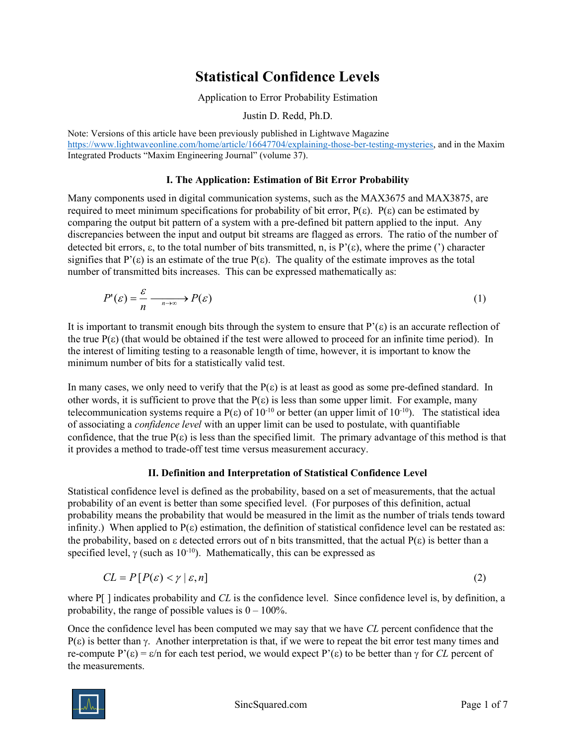# Statistical Confidence Levels

Application to Error Probability Estimation

Justin D. Redd, Ph.D.

Note: Versions of this article have been previously published in Lightwave Magazine https://www.lightwaveonline.com/home/article/16647704/explaining-those-ber-testing-mysteries, and in the Maxim Integrated Products "Maxim Engineering Journal" (volume 37).

### I. The Application: Estimation of Bit Error Probability

Many components used in digital communication systems, such as the MAX3675 and MAX3875, are required to meet minimum specifications for probability of bit error,  $P(\varepsilon)$ .  $P(\varepsilon)$  can be estimated by comparing the output bit pattern of a system with a pre-defined bit pattern applied to the input. Any discrepancies between the input and output bit streams are flagged as errors. The ratio of the number of detected bit errors,  $\varepsilon$ , to the total number of bits transmitted, n, is P'( $\varepsilon$ ), where the prime (') character signifies that  $P'(\varepsilon)$  is an estimate of the true  $P(\varepsilon)$ . The quality of the estimate improves as the total number of transmitted bits increases. This can be expressed mathematically as:

$$
P'(\varepsilon) = \frac{\varepsilon}{n} \xrightarrow[n \to \infty]{} P(\varepsilon) \tag{1}
$$

It is important to transmit enough bits through the system to ensure that  $P'(\varepsilon)$  is an accurate reflection of the true  $P(\varepsilon)$  (that would be obtained if the test were allowed to proceed for an infinite time period). In the interest of limiting testing to a reasonable length of time, however, it is important to know the minimum number of bits for a statistically valid test.

In many cases, we only need to verify that the  $P(\varepsilon)$  is at least as good as some pre-defined standard. In other words, it is sufficient to prove that the  $P(\varepsilon)$  is less than some upper limit. For example, many telecommunication systems require a  $P(\varepsilon)$  of  $10^{-10}$  or better (an upper limit of  $10^{-10}$ ). The statistical idea of associating a confidence level with an upper limit can be used to postulate, with quantifiable confidence, that the true  $P(\varepsilon)$  is less than the specified limit. The primary advantage of this method is that it provides a method to trade-off test time versus measurement accuracy.

## II. Definition and Interpretation of Statistical Confidence Level

Statistical confidence level is defined as the probability, based on a set of measurements, that the actual probability of an event is better than some specified level. (For purposes of this definition, actual probability means the probability that would be measured in the limit as the number of trials tends toward infinity.) When applied to  $P(\varepsilon)$  estimation, the definition of statistical confidence level can be restated as: the probability, based on  $\varepsilon$  detected errors out of n bits transmitted, that the actual  $P(\varepsilon)$  is better than a specified level,  $\gamma$  (such as  $10^{-10}$ ). Mathematically, this can be expressed as

$$
CL = P[P(\varepsilon) < \gamma \mid \varepsilon, n] \tag{2}
$$

where  $P[\ ]$  indicates probability and CL is the confidence level. Since confidence level is, by definition, a probability, the range of possible values is  $0 - 100\%$ .

Once the confidence level has been computed we may say that we have CL percent confidence that the  $P(\varepsilon)$  is better than  $\gamma$ . Another interpretation is that, if we were to repeat the bit error test many times and re-compute P'( $\epsilon$ ) =  $\epsilon$ /n for each test period, we would expect P'( $\epsilon$ ) to be better than  $\gamma$  for CL percent of the measurements.

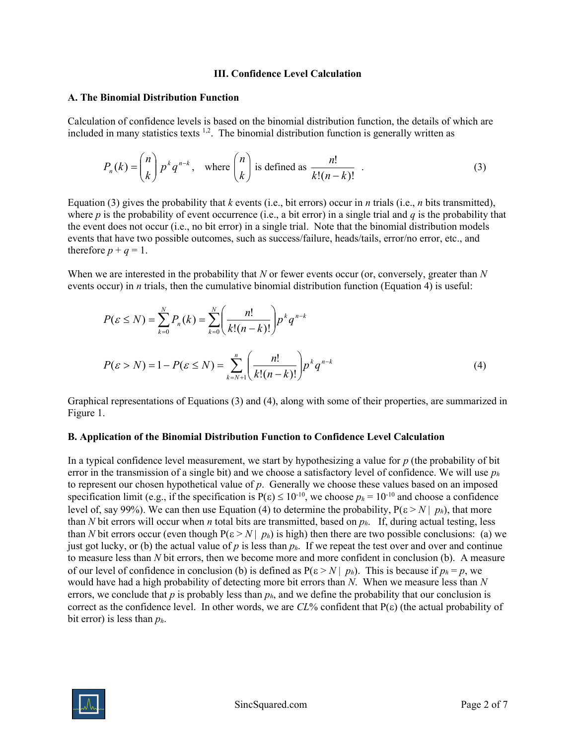#### III. Confidence Level Calculation

#### A. The Binomial Distribution Function

Calculation of confidence levels is based on the binomial distribution function, the details of which are included in many statistics texts  $1,2$ . The binomial distribution function is generally written as

$$
P_n(k) = \binom{n}{k} p^k q^{n-k}, \text{ where } \binom{n}{k} \text{ is defined as } \frac{n!}{k!(n-k)!} .
$$
 (3)

Equation (3) gives the probability that k events (i.e., bit errors) occur in n trials (i.e., n bits transmitted), where p is the probability of event occurrence (i.e., a bit error) in a single trial and q is the probability that the event does not occur (i.e., no bit error) in a single trial. Note that the binomial distribution models events that have two possible outcomes, such as success/failure, heads/tails, error/no error, etc., and therefore  $p + q = 1$ .

When we are interested in the probability that  $N$  or fewer events occur (or, conversely, greater than  $N$ events occur) in *n* trials, then the cumulative binomial distribution function (Equation 4) is useful:

$$
P(\varepsilon \le N) = \sum_{k=0}^{N} P_n(k) = \sum_{k=0}^{N} \left( \frac{n!}{k!(n-k)!} \right) p^k q^{n-k}
$$
  

$$
P(\varepsilon > N) = 1 - P(\varepsilon \le N) = \sum_{k=N+1}^{n} \left( \frac{n!}{k!(n-k)!} \right) p^k q^{n-k}
$$
 (4)

Graphical representations of Equations (3) and (4), along with some of their properties, are summarized in Figure 1.

#### B. Application of the Binomial Distribution Function to Confidence Level Calculation

In a typical confidence level measurement, we start by hypothesizing a value for  $p$  (the probability of bit error in the transmission of a single bit) and we choose a satisfactory level of confidence. We will use  $p_h$ to represent our chosen hypothetical value of  $p$ . Generally we choose these values based on an imposed specification limit (e.g., if the specification is  $P(\varepsilon) \le 10^{-10}$ , we choose  $p_h = 10^{-10}$  and choose a confidence level of, say 99%). We can then use Equation (4) to determine the probability,  $P(\varepsilon > N | p_h)$ , that more than N bit errors will occur when n total bits are transmitted, based on  $p_h$ . If, during actual testing, less than N bit errors occur (even though  $P(\varepsilon > N | p_h)$  is high) then there are two possible conclusions: (a) we just got lucky, or (b) the actual value of p is less than  $p<sub>h</sub>$ . If we repeat the test over and over and continue to measure less than N bit errors, then we become more and more confident in conclusion (b). A measure of our level of confidence in conclusion (b) is defined as  $P(\varepsilon > N | p_h)$ . This is because if  $p_h = p$ , we would have had a high probability of detecting more bit errors than  $N$ . When we measure less than  $N$ errors, we conclude that p is probably less than  $p<sub>h</sub>$ , and we define the probability that our conclusion is correct as the confidence level. In other words, we are  $CL\%$  confident that  $P(\varepsilon)$  (the actual probability of bit error) is less than  $p_h$ .

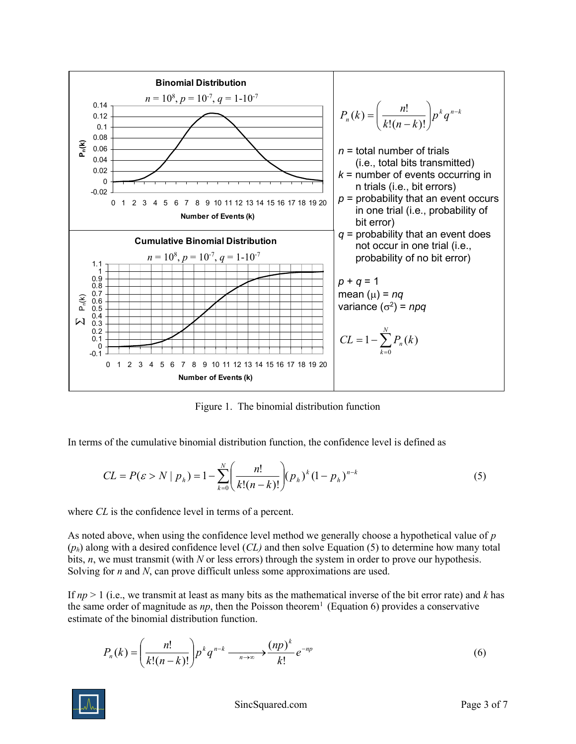

Figure 1. The binomial distribution function

In terms of the cumulative binomial distribution function, the confidence level is defined as

$$
CL = P(\varepsilon > N \mid p_h) = 1 - \sum_{k=0}^{N} \left( \frac{n!}{k!(n-k)!} \right) (p_h)^k (1 - p_h)^{n-k}
$$
 (5)

where *CL* is the confidence level in terms of a percent.

As noted above, when using the confidence level method we generally choose a hypothetical value of  $p$  $(p_h)$  along with a desired confidence level  $CL$ ) and then solve Equation (5) to determine how many total bits,  $n$ , we must transmit (with  $N$  or less errors) through the system in order to prove our hypothesis. Solving for *n* and *N*, can prove difficult unless some approximations are used.

If  $np > 1$  (i.e., we transmit at least as many bits as the mathematical inverse of the bit error rate) and k has the same order of magnitude as  $np$ , then the Poisson theorem<sup>1</sup> (Equation 6) provides a conservative estimate of the binomial distribution function.

$$
P_n(k) = \left(\frac{n!}{k!(n-k)!}\right) p^k q^{n-k} \xrightarrow[n \to \infty]{} \frac{(np)^k}{k!} e^{-np}
$$
\n
$$
(6)
$$

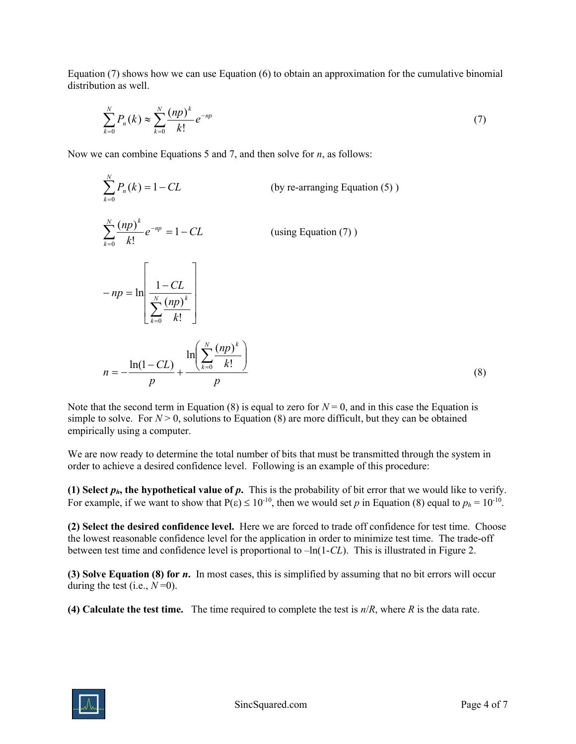Equation (7) shows how we can use Equation (6) to obtain an approximation for the cumulative binomial distribution as well.

$$
\sum_{k=0}^{N} P_n(k) \approx \sum_{k=0}^{N} \frac{(np)^k}{k!} e^{-np}
$$
 (7)

Now we can combine Equations 5 and 7, and then solve for  $n$ , as follows:

$$
\sum_{k=0}^{N} P_n(k) = 1 - CL
$$
 (by re-arranging Equation (5))  

$$
\sum_{k=0}^{N} \frac{(np)^k}{k!} e^{-np} = 1 - CL
$$
 (using Equation (7))  

$$
-np = \ln \left[ \frac{1 - CL}{\sum_{k=0}^{N} \frac{(np)^k}{k!}} \right]
$$
  

$$
n = -\frac{\ln(1 - CL)}{p} + \frac{\ln \left( \sum_{k=0}^{N} \frac{(np)^k}{k!} \right)}{p}
$$
 (8)

Note that the second term in Equation (8) is equal to zero for  $N = 0$ , and in this case the Equation is simple to solve. For  $N > 0$ , solutions to Equation (8) are more difficult, but they can be obtained empirically using a computer.

We are now ready to determine the total number of bits that must be transmitted through the system in order to achieve a desired confidence level. Following is an example of this procedure:

(1) Select  $p_h$ , the hypothetical value of  $p$ . This is the probability of bit error that we would like to verify. For example, if we want to show that  $P(\epsilon) \le 10^{-10}$ , then we would set p in Equation (8) equal to  $p_h = 10^{-10}$ .

(2) Select the desired confidence level. Here we are forced to trade off confidence for test time. Choose the lowest reasonable confidence level for the application in order to minimize test time. The trade-off between test time and confidence level is proportional to  $-\ln(1-CL)$ . This is illustrated in Figure 2.

(3) Solve Equation (8) for n. In most cases, this is simplified by assuming that no bit errors will occur during the test (i.e.,  $N=0$ ).

(4) Calculate the test time. The time required to complete the test is  $n/R$ , where R is the data rate.

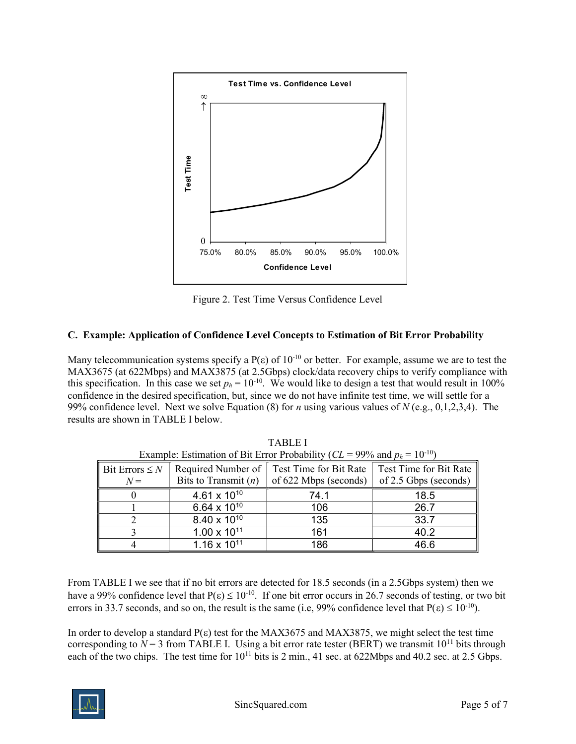

Figure 2. Test Time Versus Confidence Level

# C. Example: Application of Confidence Level Concepts to Estimation of Bit Error Probability

Many telecommunication systems specify a  $P(\varepsilon)$  of  $10^{-10}$  or better. For example, assume we are to test the MAX3675 (at 622Mbps) and MAX3875 (at 2.5Gbps) clock/data recovery chips to verify compliance with this specification. In this case we set  $p_h = 10^{-10}$ . We would like to design a test that would result in 100% confidence in the desired specification, but, since we do not have infinite test time, we will settle for a 99% confidence level. Next we solve Equation (8) for *n* using various values of  $N$  (e.g., 0,1,2,3,4). The results are shown in TABLE I below.

| Bit Errors $\leq N$<br>$N =$ | Required Number of  <br>Bits to Transmit $(n)$ | Test Time for Bit Rate<br>of 622 Mbps (seconds) | Test Time for Bit Rate<br>of 2.5 Gbps (seconds) |
|------------------------------|------------------------------------------------|-------------------------------------------------|-------------------------------------------------|
|                              | $4.61 \times 10^{10}$                          | 74.1                                            | 18.5                                            |
|                              | 6.64 x $10^{10}$                               | 106                                             | 26.7                                            |
|                              | $8.40 \times 10^{10}$                          | 135                                             | 33.7                                            |
|                              | $1.00 \times 10^{11}$                          | 161                                             | 40.2                                            |
|                              | $1.16 \times 10^{11}$                          | 186                                             | 46.6                                            |

TABLE I Example: Estimation of Bit Error Probability  $\left( \frac{CI}{P} = 0.00 / \text{ and } p_{\text{in}} = 10^{-10} \right)$ 

From TABLE I we see that if no bit errors are detected for 18.5 seconds (in a 2.5Gbps system) then we have a 99% confidence level that  $P(\epsilon) \le 10^{-10}$ . If one bit error occurs in 26.7 seconds of testing, or two bit errors in 33.7 seconds, and so on, the result is the same (i.e, 99% confidence level that  $P(\epsilon) \le 10^{-10}$ ).

In order to develop a standard  $P(\varepsilon)$  test for the MAX3675 and MAX3875, we might select the test time corresponding to  $N = 3$  from TABLE I. Using a bit error rate tester (BERT) we transmit  $10^{11}$  bits through each of the two chips. The test time for  $10^{11}$  bits is 2 min., 41 sec. at 622Mbps and 40.2 sec. at 2.5 Gbps.

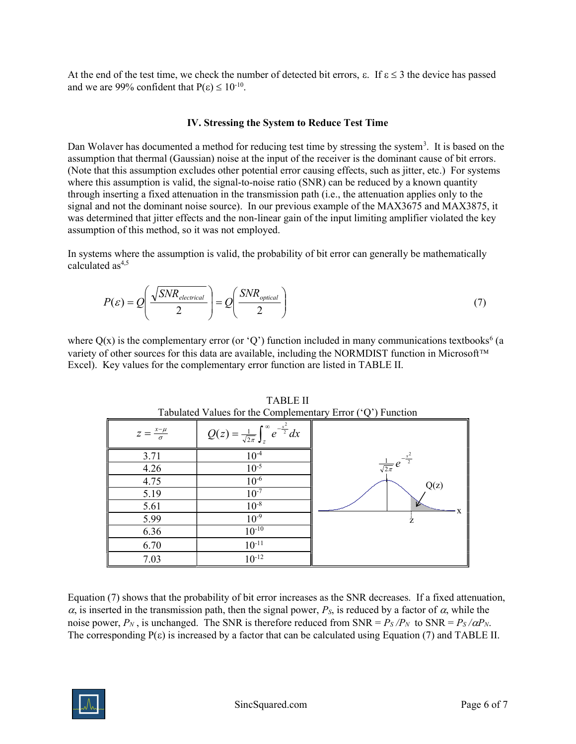At the end of the test time, we check the number of detected bit errors,  $\varepsilon$ . If  $\varepsilon \leq 3$  the device has passed and we are 99% confident that  $P(\varepsilon) \le 10^{-10}$ .

## IV. Stressing the System to Reduce Test Time

Dan Wolaver has documented a method for reducing test time by stressing the system<sup>3</sup>. It is based on the assumption that thermal (Gaussian) noise at the input of the receiver is the dominant cause of bit errors. (Note that this assumption excludes other potential error causing effects, such as jitter, etc.) For systems where this assumption is valid, the signal-to-noise ratio (SNR) can be reduced by a known quantity through inserting a fixed attenuation in the transmission path (i.e., the attenuation applies only to the signal and not the dominant noise source). In our previous example of the MAX3675 and MAX3875, it was determined that jitter effects and the non-linear gain of the input limiting amplifier violated the key assumption of this method, so it was not employed.

In systems where the assumption is valid, the probability of bit error can generally be mathematically calculated as $4,5$ 

$$
P(\varepsilon) = Q\left(\frac{\sqrt{SNR_{electrical}}}{2}\right) = Q\left(\frac{SNR_{optical}}{2}\right)
$$
 (7)

where  $Q(x)$  is the complementary error (or 'Q') function included in many communications textbooks<sup>6</sup> (a variety of other sources for this data are available, including the NORMDIST function in Microsoft™ Excel). Key values for the complementary error function are listed in TABLE II.

| Tabulated Values for the Complementary Error $(\mathcal{C})$ Function |                                                                        |                                           |  |  |
|-----------------------------------------------------------------------|------------------------------------------------------------------------|-------------------------------------------|--|--|
| $z=\frac{x-\mu}{\sigma}$                                              | $Q(z) = \frac{1}{\sqrt{2\pi}} \int_{z}^{\infty} e^{-\frac{x^2}{2}} dx$ |                                           |  |  |
| 3.71                                                                  | $10^{-4}$                                                              | $\frac{1}{\sqrt{2\pi}}e^{-\frac{x^2}{2}}$ |  |  |
| 4.26                                                                  | $10^{-5}$                                                              |                                           |  |  |
| 4.75                                                                  | $10^{-6}$                                                              | Q(z)                                      |  |  |
| 5.19                                                                  | $10^{-7}$                                                              |                                           |  |  |
| 5.61                                                                  | $10^{-8}$                                                              |                                           |  |  |
| 5.99                                                                  | $10^{-9}$                                                              |                                           |  |  |
| 6.36                                                                  | $10^{-10}$                                                             |                                           |  |  |
| 6.70                                                                  | $10^{-11}$                                                             |                                           |  |  |
| 7.03                                                                  | $10^{-12}$                                                             |                                           |  |  |

TABLE II Tabulated Values for the Complementary Error ('Q') Function

Equation (7) shows that the probability of bit error increases as the SNR decreases. If a fixed attenuation,  $\alpha$ , is inserted in the transmission path, then the signal power,  $P_s$ , is reduced by a factor of  $\alpha$ , while the noise power,  $P_N$ , is unchanged. The SNR is therefore reduced from SNR =  $P_S/P_N$  to SNR =  $P_S/\alpha P_N$ . The corresponding  $P(\varepsilon)$  is increased by a factor that can be calculated using Equation (7) and TABLE II.